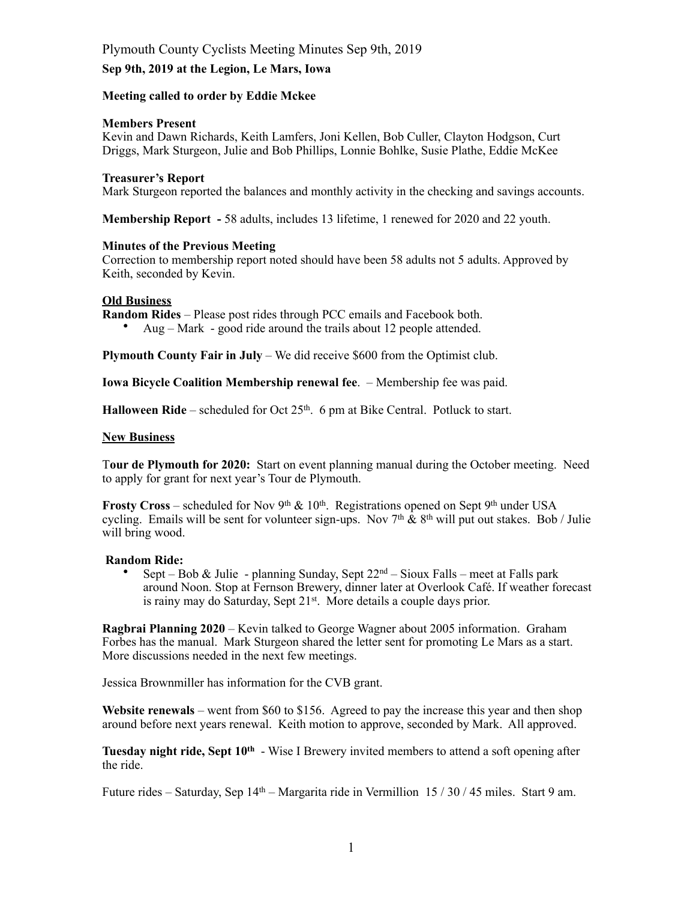# Plymouth County Cyclists Meeting Minutes Sep 9th, 2019

## **Sep 9th, 2019 at the Legion, Le Mars, Iowa**

## **Meeting called to order by Eddie Mckee**

## **Members Present**

Kevin and Dawn Richards, Keith Lamfers, Joni Kellen, Bob Culler, Clayton Hodgson, Curt Driggs, Mark Sturgeon, Julie and Bob Phillips, Lonnie Bohlke, Susie Plathe, Eddie McKee

#### **Treasurer's Report**

Mark Sturgeon reported the balances and monthly activity in the checking and savings accounts.

**Membership Report -** 58 adults, includes 13 lifetime, 1 renewed for 2020 and 22 youth.

#### **Minutes of the Previous Meeting**

Correction to membership report noted should have been 58 adults not 5 adults. Approved by Keith, seconded by Kevin.

## **Old Business**

**Random Rides** – Please post rides through PCC emails and Facebook both.

• Aug – Mark - good ride around the trails about 12 people attended.

**Plymouth County Fair in July** – We did receive \$600 from the Optimist club.

**Iowa Bicycle Coalition Membership renewal fee**. – Membership fee was paid.

**Halloween Ride** – scheduled for Oct 25<sup>th</sup>. 6 pm at Bike Central. Potluck to start.

#### **New Business**

T**our de Plymouth for 2020:** Start on event planning manual during the October meeting. Need to apply for grant for next year's Tour de Plymouth.

**Frosty Cross** – scheduled for Nov 9<sup>th</sup> & 10<sup>th</sup>. Registrations opened on Sept 9<sup>th</sup> under USA cycling. Emails will be sent for volunteer sign-ups. Nov  $7<sup>th</sup> \& 8<sup>th</sup>$  will put out stakes. Bob / Julie will bring wood.

#### **Random Ride:**

Sept – Bob & Julie - planning Sunday, Sept  $22<sup>nd</sup>$  – Sioux Falls – meet at Falls park around Noon. Stop at Fernson Brewery, dinner later at Overlook Café. If weather forecast is rainy may do Saturday, Sept 21<sup>st</sup>. More details a couple days prior.

**Ragbrai Planning 2020** – Kevin talked to George Wagner about 2005 information. Graham Forbes has the manual. Mark Sturgeon shared the letter sent for promoting Le Mars as a start. More discussions needed in the next few meetings.

Jessica Brownmiller has information for the CVB grant.

**Website renewals** – went from \$60 to \$156. Agreed to pay the increase this year and then shop around before next years renewal. Keith motion to approve, seconded by Mark. All approved.

**Tuesday night ride, Sept 10th** - Wise I Brewery invited members to attend a soft opening after the ride.

Future rides – Saturday, Sep 14th – Margarita ride in Vermillion 15 / 30 / 45 miles. Start 9 am.